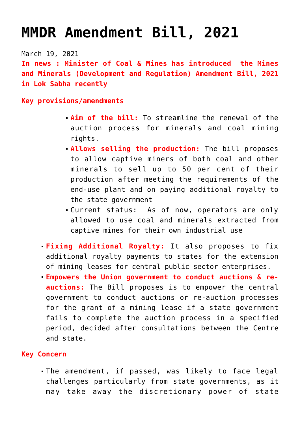## **[MMDR Amendment Bill, 2021](https://journalsofindia.com/mmdr-amendment-bill-2021/)**

March 19, 2021

**In news : Minister of Coal & Mines has introduced the Mines and Minerals (Development and Regulation) Amendment Bill, 2021 in Lok Sabha recently**

**Key provisions/amendments** 

- **Aim of the bill:** To streamline the renewal of the auction process for minerals and coal mining rights.
- **Allows selling the production:** The bill proposes to allow captive miners of both coal and other minerals to sell up to 50 per cent of their production after meeting the requirements of the end-use plant and on paying additional royalty to the state government
- Current status: As of now, operators are only allowed to use coal and minerals extracted from captive mines for their own industrial use
- **Fixing Additional Royalty:** It also proposes to fix additional royalty payments to states for the extension of mining leases for central public sector enterprises.
- **Empowers the Union government to conduct auctions & reauctions:** The Bill proposes is to empower the central government to conduct auctions or re-auction processes for the grant of a mining lease if a state government fails to complete the auction process in a specified period, decided after consultations between the Centre and state.

## **Key Concern**

The amendment, if passed, was likely to face legal challenges particularly from state governments, as it may take away the discretionary power of state